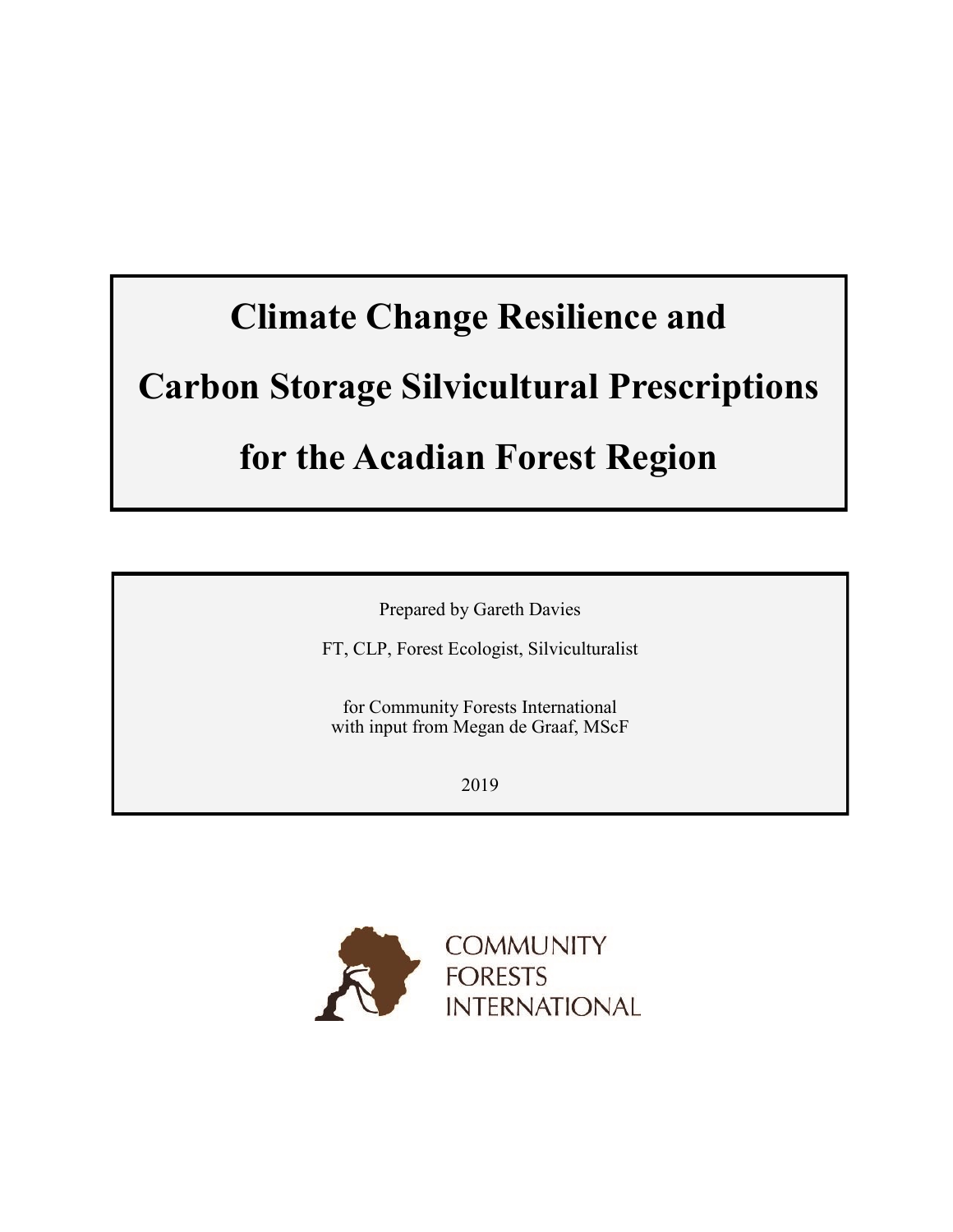Prepared by Gareth Davies

FT, CLP, Forest Ecologist, Silviculturalist

for Community Forests International with input from Megan de Graaf, MScF

2019

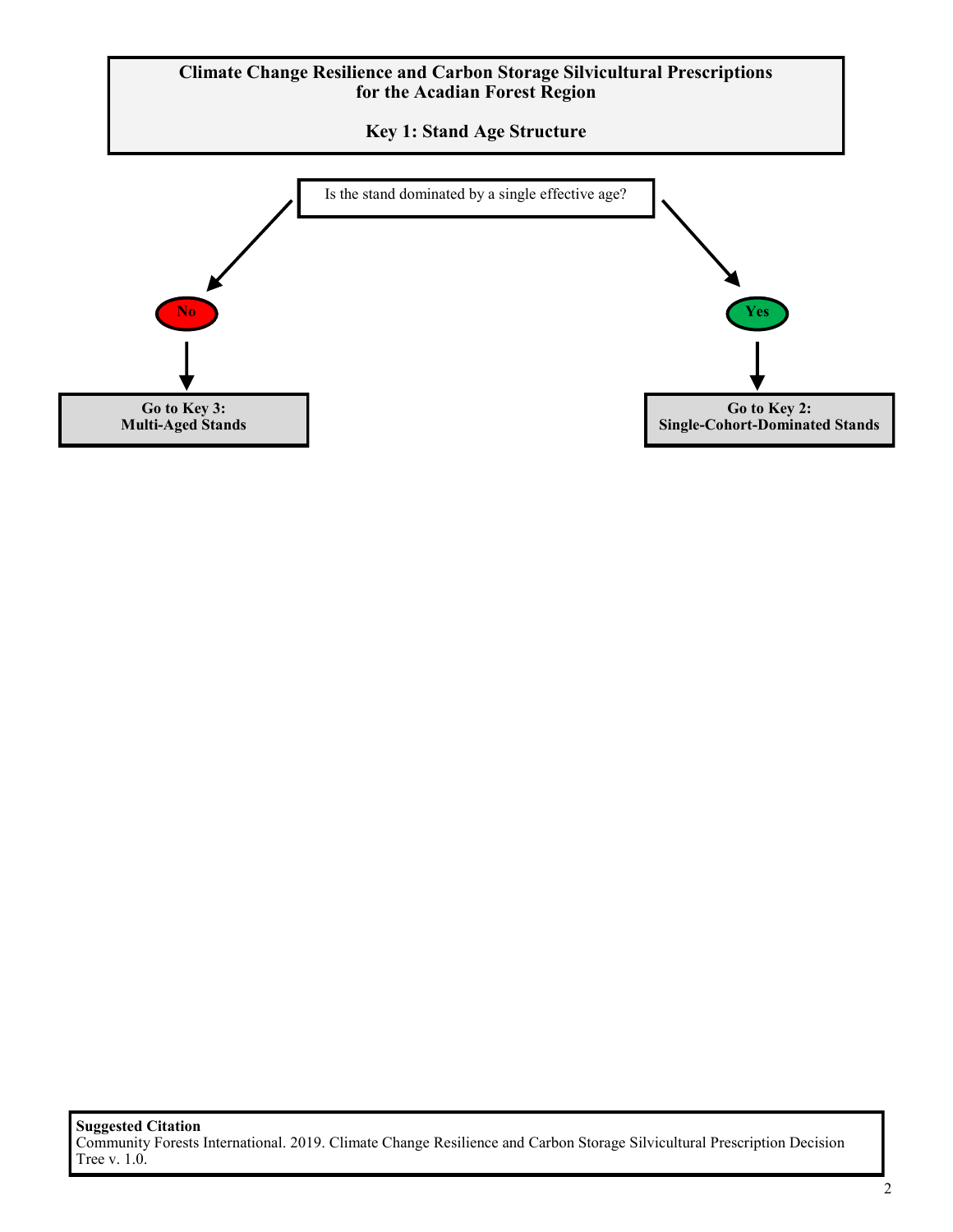**Key 1: Stand Age Structure**

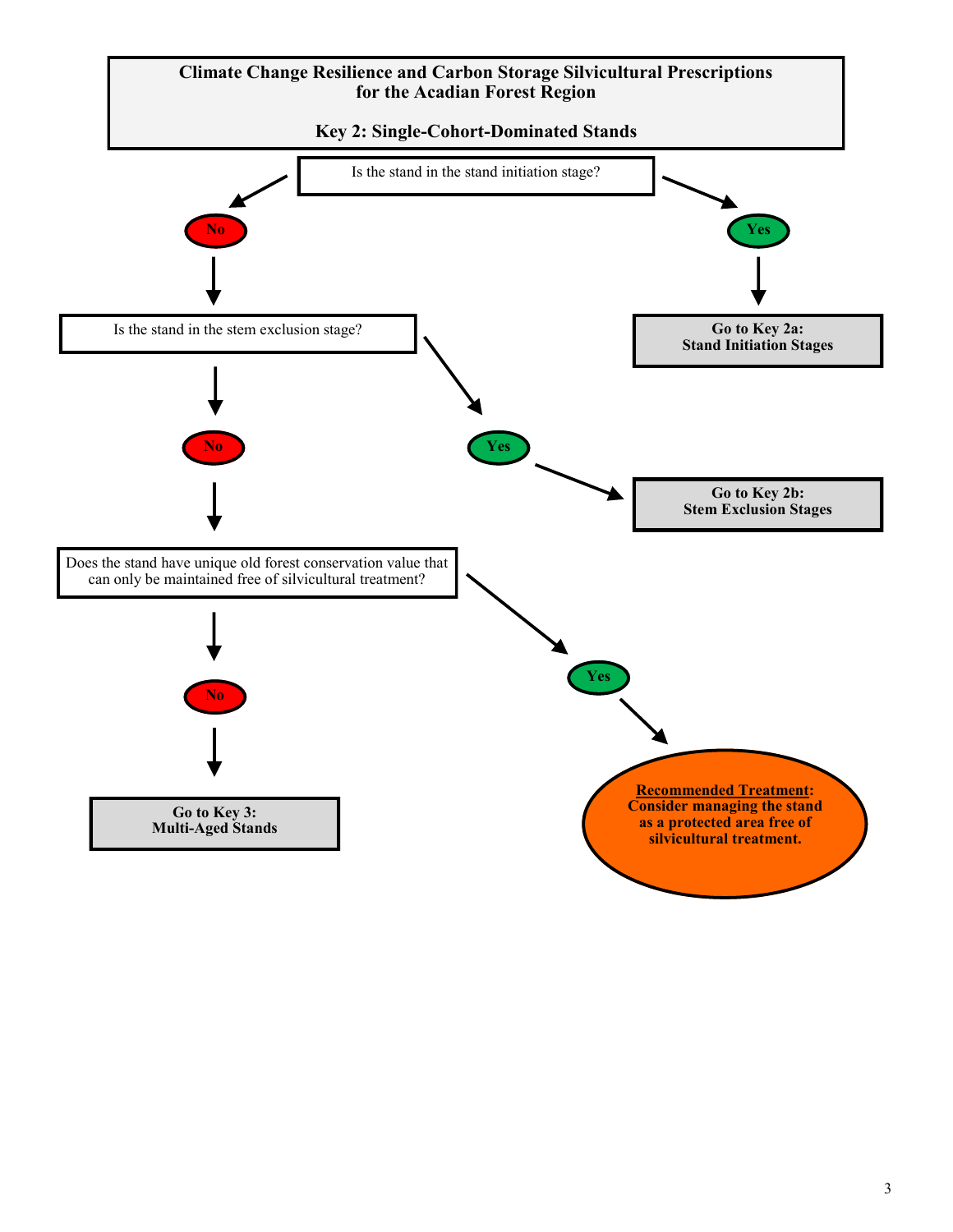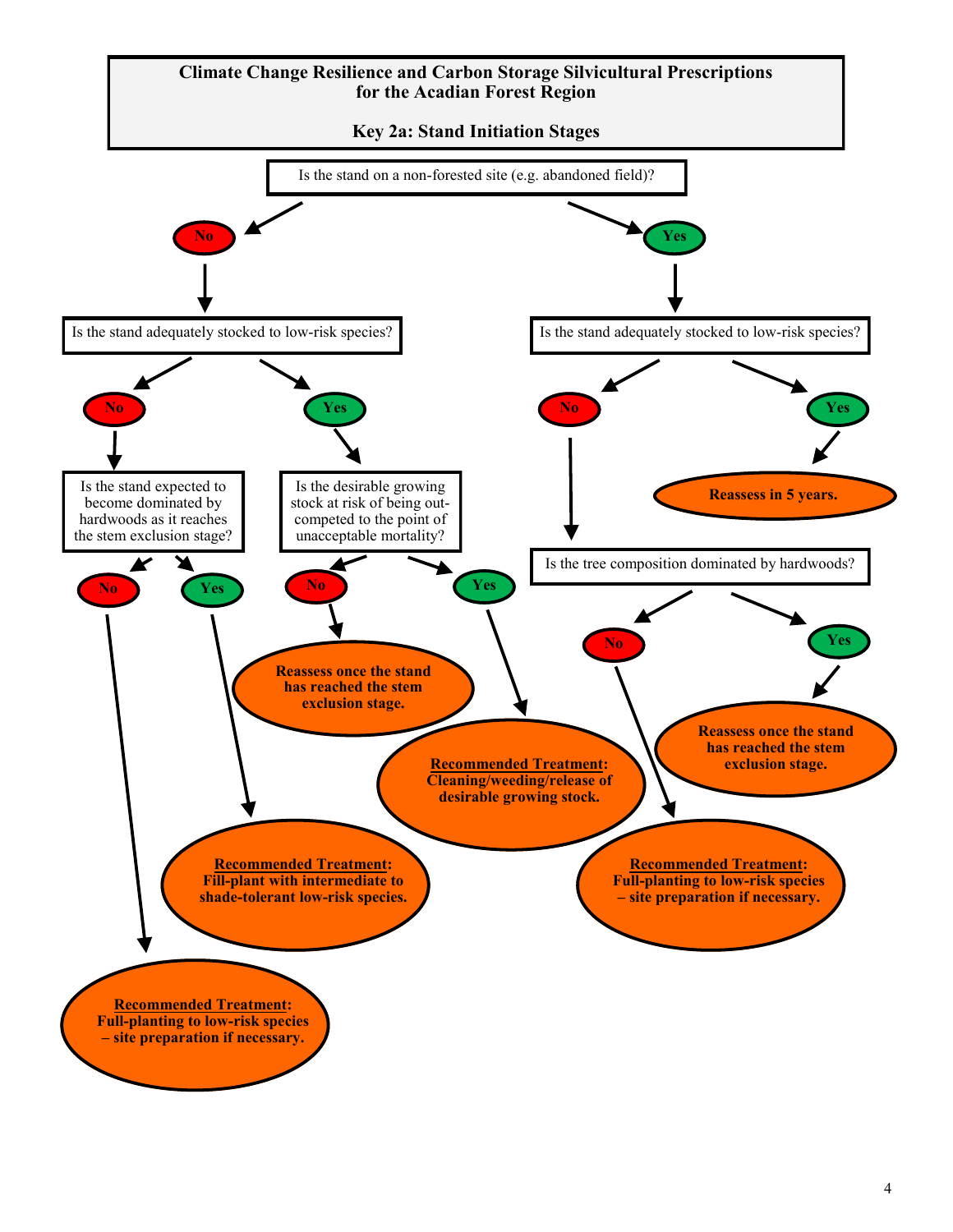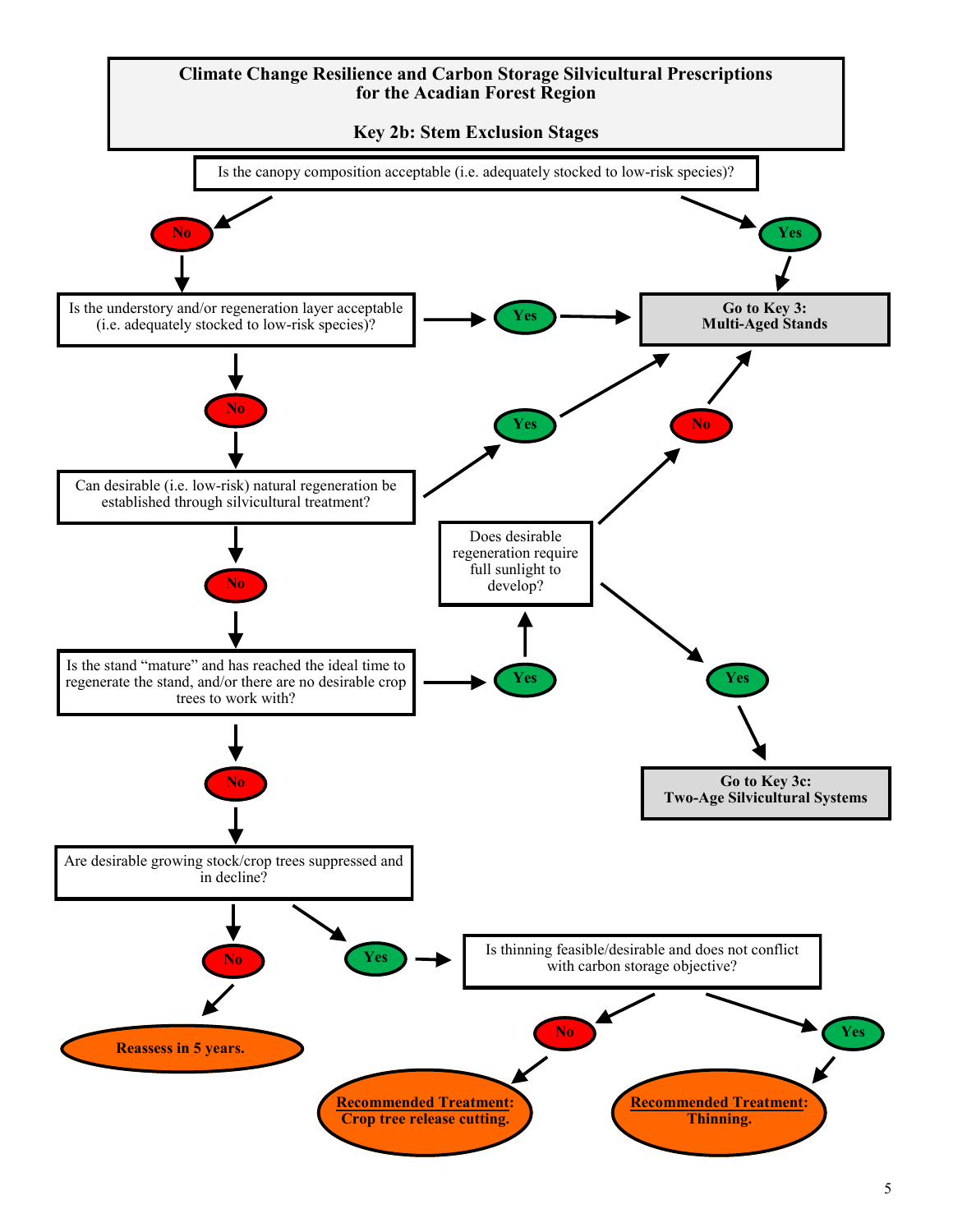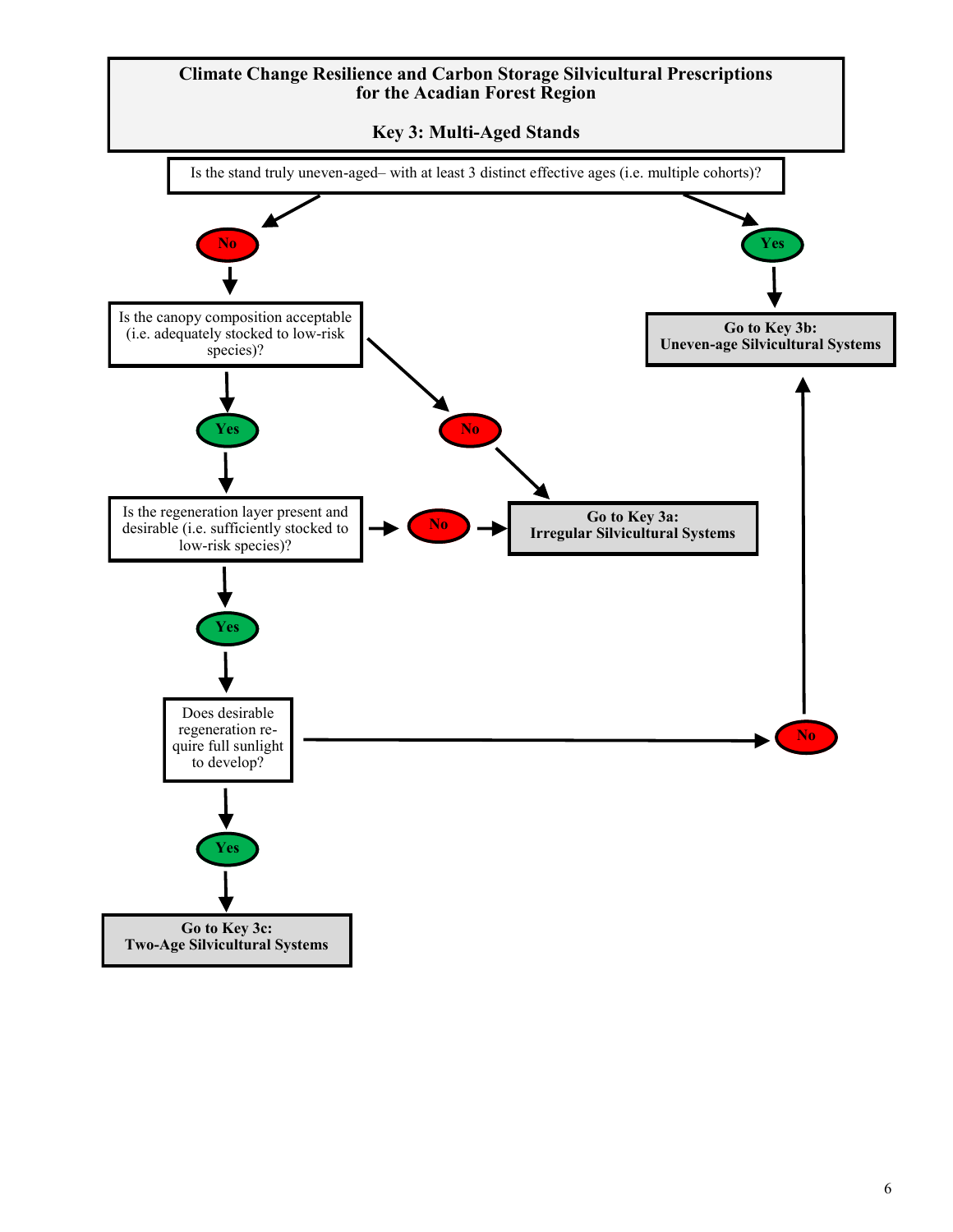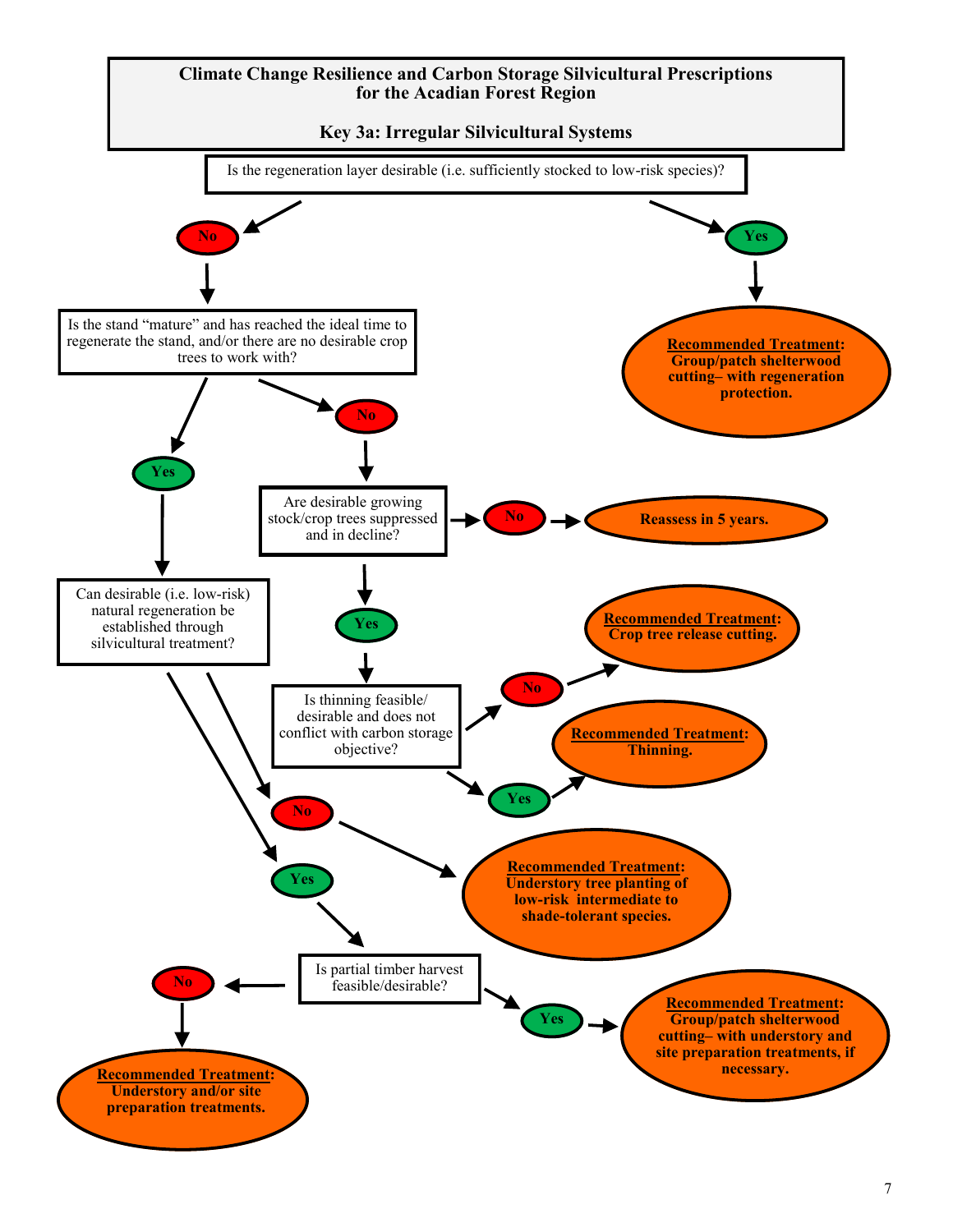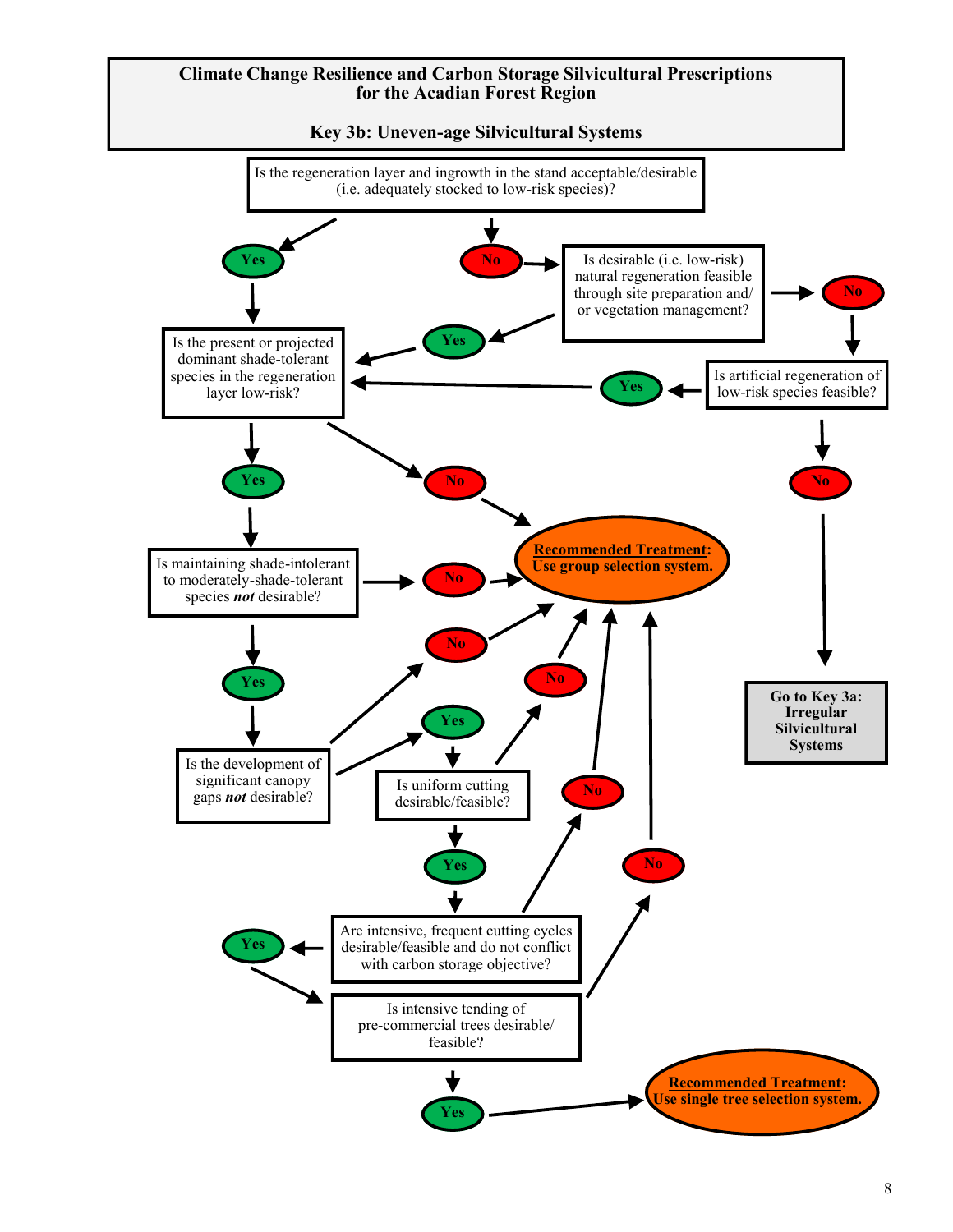

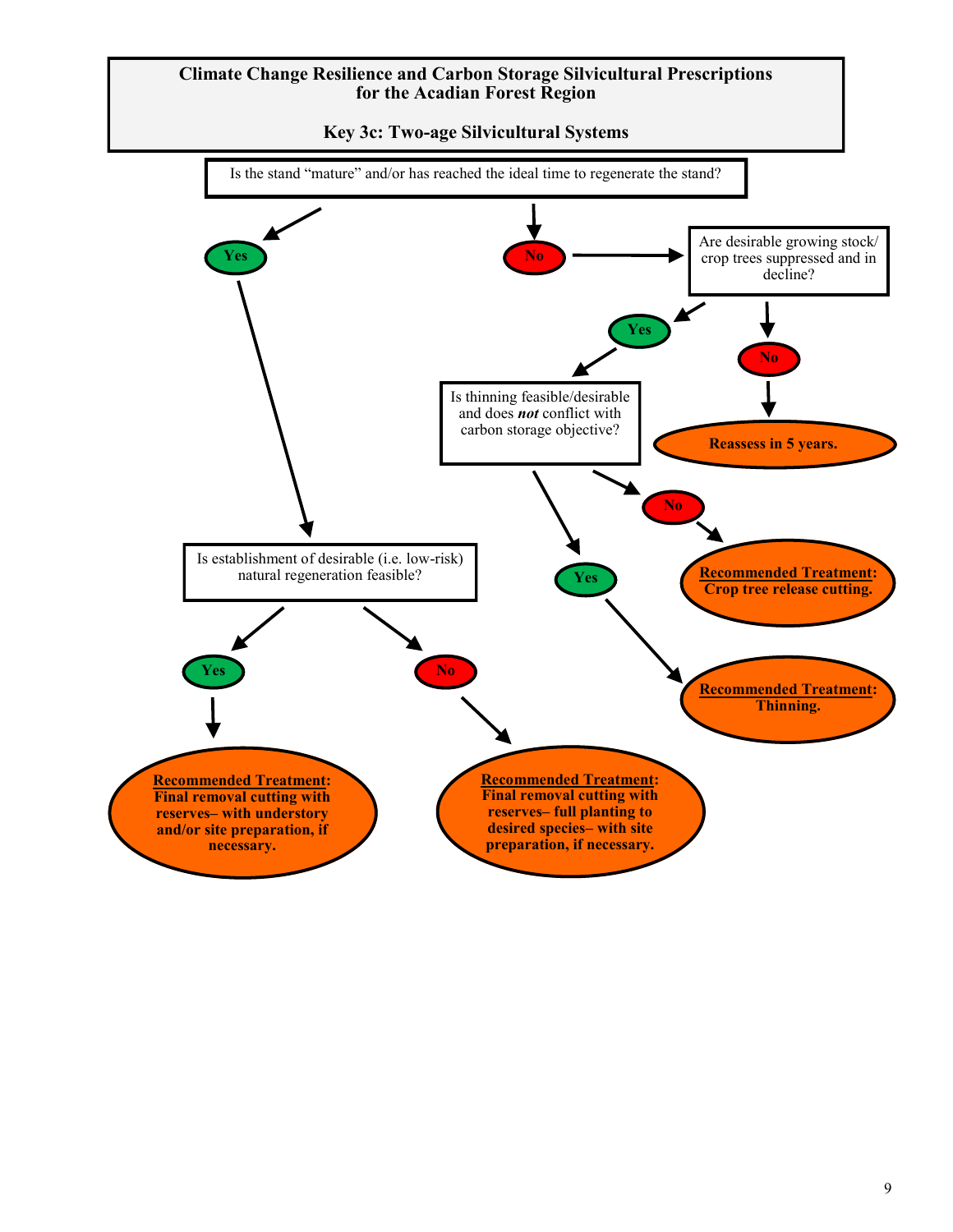**Key 3c: Two-age Silvicultural Systems**